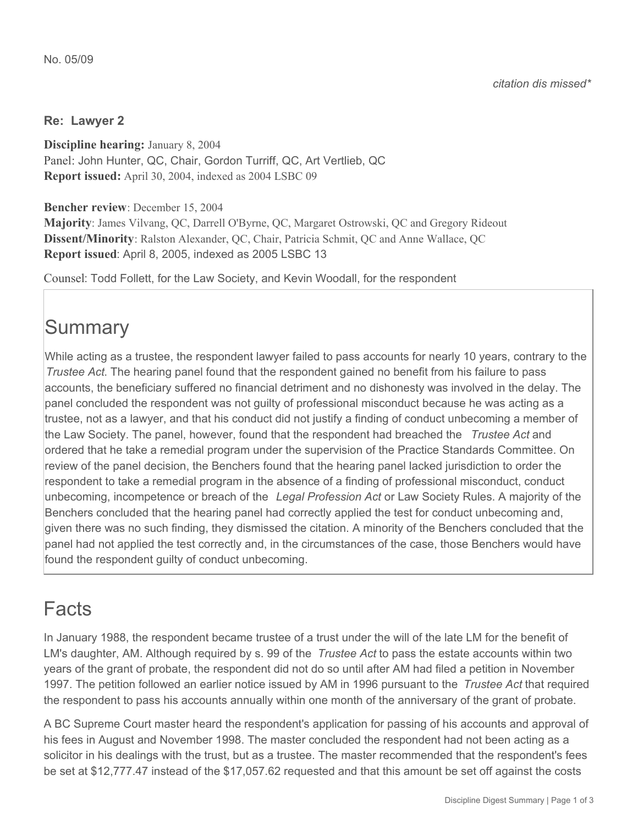#### **Re: Lawyer 2**

**Discipline hearing:** January 8, 2004 Panel: John Hunter, QC, Chair, Gordon Turriff, QC, Art Vertlieb, QC **Report issued:** April 30, 2004, indexed as 2004 LSBC 09

**Bencher review**: December 15, 2004

**Majority**: James Vilvang, QC, Darrell O'Byrne, QC, Margaret Ostrowski, QC and Gregory Rideout **Dissent/Minority**: Ralston Alexander, QC, Chair, Patricia Schmit, QC and Anne Wallace, QC **Report issued**: April 8, 2005, indexed as 2005 LSBC 13

Counsel: Todd Follett, for the Law Society, and Kevin Woodall, for the respondent

# **Summary**

While acting as a trustee, the respondent lawyer failed to pass accounts for nearly 10 years, contrary to the *Trustee Act*. The hearing panel found that the respondent gained no benefit from his failure to pass accounts, the beneficiary suffered no financial detriment and no dishonesty was involved in the delay. The panel concluded the respondent was not guilty of professional misconduct because he was acting as a trustee, not as a lawyer, and that his conduct did not justify a finding of conduct unbecoming a member of the Law Society. The panel, however, found that the respondent had breached the *Trustee Act* and ordered that he take a remedial program under the supervision of the Practice Standards Committee. On review of the panel decision, the Benchers found that the hearing panel lacked jurisdiction to order the respondent to take a remedial program in the absence of a finding of professional misconduct, conduct unbecoming, incompetence or breach of the *Legal Profession Act* or Law Society Rules. A majority of the Benchers concluded that the hearing panel had correctly applied the test for conduct unbecoming and, given there was no such finding, they dismissed the citation. A minority of the Benchers concluded that the panel had not applied the test correctly and, in the circumstances of the case, those Benchers would have found the respondent guilty of conduct unbecoming.

### Facts

In January 1988, the respondent became trustee of a trust under the will of the late LM for the benefit of LM's daughter, AM. Although required by s. 99 of the *Trustee Act* to pass the estate accounts within two years of the grant of probate, the respondent did not do so until after AM had filed a petition in November 1997. The petition followed an earlier notice issued by AM in 1996 pursuant to the *Trustee Act* that required the respondent to pass his accounts annually within one month of the anniversary of the grant of probate.

A BC Supreme Court master heard the respondent's application for passing of his accounts and approval of his fees in August and November 1998. The master concluded the respondent had not been acting as a solicitor in his dealings with the trust, but as a trustee. The master recommended that the respondent's fees be set at \$12,777.47 instead of the \$17,057.62 requested and that this amount be set off against the costs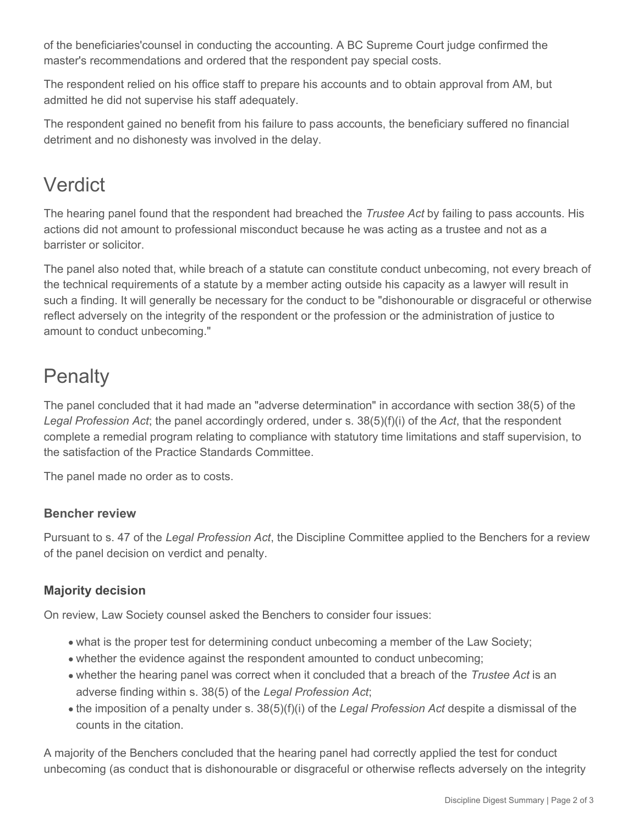of the beneficiaries'counsel in conducting the accounting. A BC Supreme Court judge confirmed the master's recommendations and ordered that the respondent pay special costs.

The respondent relied on his office staff to prepare his accounts and to obtain approval from AM, but admitted he did not supervise his staff adequately.

The respondent gained no benefit from his failure to pass accounts, the beneficiary suffered no financial detriment and no dishonesty was involved in the delay.

# Verdict

The hearing panel found that the respondent had breached the *Trustee Act* by failing to pass accounts. His actions did not amount to professional misconduct because he was acting as a trustee and not as a barrister or solicitor.

The panel also noted that, while breach of a statute can constitute conduct unbecoming, not every breach of the technical requirements of a statute by a member acting outside his capacity as a lawyer will result in such a finding. It will generally be necessary for the conduct to be "dishonourable or disgraceful or otherwise reflect adversely on the integrity of the respondent or the profession or the administration of justice to amount to conduct unbecoming."

# **Penalty**

The panel concluded that it had made an "adverse determination" in accordance with section 38(5) of the *Legal Profession Act*; the panel accordingly ordered, under s. 38(5)(f)(i) of the *Act*, that the respondent complete a remedial program relating to compliance with statutory time limitations and staff supervision, to the satisfaction of the Practice Standards Committee.

The panel made no order as to costs.

#### **Bencher review**

Pursuant to s. 47 of the *Legal Profession Act*, the Discipline Committee applied to the Benchers for a review of the panel decision on verdict and penalty.

### **Majority decision**

On review, Law Society counsel asked the Benchers to consider four issues:

- what is the proper test for determining conduct unbecoming a member of the Law Society;
- whether the evidence against the respondent amounted to conduct unbecoming;
- whether the hearing panel was correct when it concluded that a breach of the *Trustee Act* is an adverse finding within s. 38(5) of the *Legal Profession Act*;
- the imposition of a penalty under s. 38(5)(f)(i) of the *Legal Profession Act* despite a dismissal of the counts in the citation.

A majority of the Benchers concluded that the hearing panel had correctly applied the test for conduct unbecoming (as conduct that is dishonourable or disgraceful or otherwise reflects adversely on the integrity